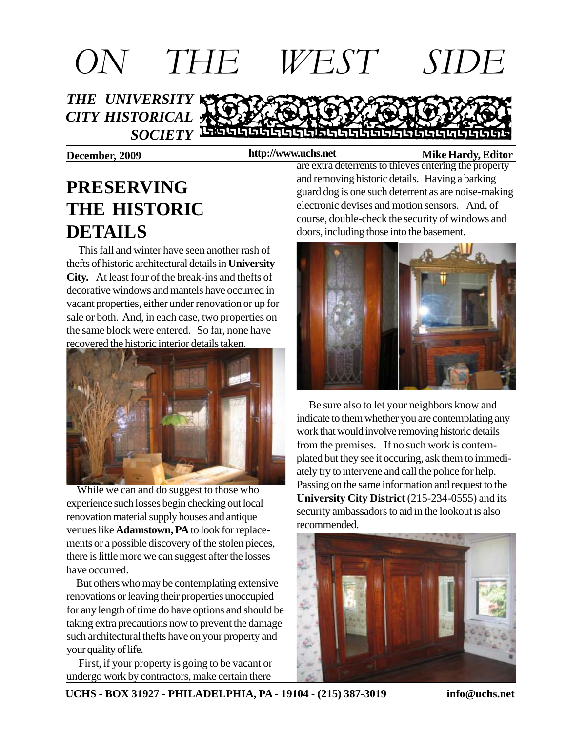

### **http://www.uchs.net**

### **December, 2009 http://www.uchs.net** Mike Hardy, Editor

## **PRESERVING THE HISTORIC DETAILS**

 This fall and winter have seen another rash of thefts of historic architectural details in **University City.** At least four of the break-ins and thefts of decorative windows and mantels have occurred in vacant properties, either under renovation or up for sale or both. And, in each case, two properties on the same block were entered. So far, none have recovered the historic interior details taken.



 While we can and do suggest to those who experience such losses begin checking out local renovation material supply houses and antique venues like **Adamstown, PA** to look for replacements or a possible discovery of the stolen pieces, there is little more we can suggest after the losses have occurred.

 But others who may be contemplating extensive renovations or leaving their properties unoccupied for any length of time do have options and should be taking extra precautions now to prevent the damage such architectural thefts have on your property and your quality of life.

 First, if your property is going to be vacant or undergo work by contractors, make certain there

are extra deterrents to thieves entering the property and removing historic details. Having a barking guard dog is one such deterrent as are noise-making electronic devises and motion sensors. And, of course, double-check the security of windows and doors, including those into the basement.



 Be sure also to let your neighbors know and indicate to them whether you are contemplating any work that would involve removing historic details from the premises. If no such work is contemplated but they see it occuring, ask them to immediately try to intervene and call the police for help. Passing on the same information and request to the **University City District** (215-234-0555) and its security ambassadors to aid in the lookout is also recommended.



**UCHS - BOX 31927 - PHILADELPHIA, PA - 19104 - (215) 387-3019 info@uchs.net**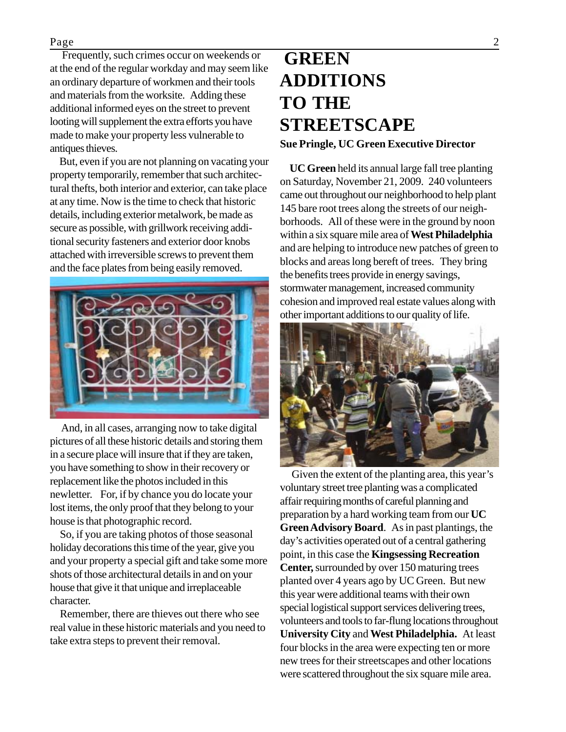### Page 2

 Frequently, such crimes occur on weekends or at the end of the regular workday and may seem like an ordinary departure of workmen and their tools and materials from the worksite. Adding these additional informed eyes on the street to prevent looting will supplement the extra efforts you have made to make your property less vulnerable to antiques thieves.

 But, even if you are not planning on vacating your property temporarily, remember that such architectural thefts, both interior and exterior, can take place at any time. Now is the time to check that historic details, including exterior metalwork, be made as secure as possible, with grillwork receiving additional security fasteners and exterior door knobs attached with irreversible screws to prevent them and the face plates from being easily removed.



 And, in all cases, arranging now to take digital pictures of all these historic details and storing them in a secure place will insure that if they are taken, you have something to show in their recovery or replacement like the photos included in this newletter. For, if by chance you do locate your lost items, the only proof that they belong to your house is that photographic record.

 So, if you are taking photos of those seasonal holiday decorations this time of the year, give you and your property a special gift and take some more shots of those architectural details in and on your house that give it that unique and irreplaceable character.

 Remember, there are thieves out there who see real value in these historic materials and you need to take extra steps to prevent their removal.

# **GREEN ADDITIONS TO THE STREETSCAPE**

#### **Sue Pringle, UC Green Executive Director**

 **UC Green** held its annual large fall tree planting on Saturday, November 21, 2009. 240 volunteers came out throughout our neighborhood to help plant 145 bare root trees along the streets of our neighborhoods. All of these were in the ground by noon within a six square mile area of **West Philadelphia** and are helping to introduce new patches of green to blocks and areas long bereft of trees. They bring the benefits trees provide in energy savings, stormwater management, increased community cohesion and improved real estate values along with other important additions to our quality of life.



 Given the extent of the planting area, this year's voluntary street tree planting was a complicated affair requiring months of careful planning and preparation by a hard working team from our **UC Green Advisory Board**. As in past plantings, the day's activities operated out of a central gathering point, in this case the **Kingsessing Recreation Center,** surrounded by over 150 maturing trees planted over 4 years ago by UC Green. But new this year were additional teams with their own special logistical support services delivering trees, volunteers and tools to far-flung locations throughout **University City** and **West Philadelphia.** At least four blocks in the area were expecting ten or more new trees for their streetscapes and other locations were scattered throughout the six square mile area.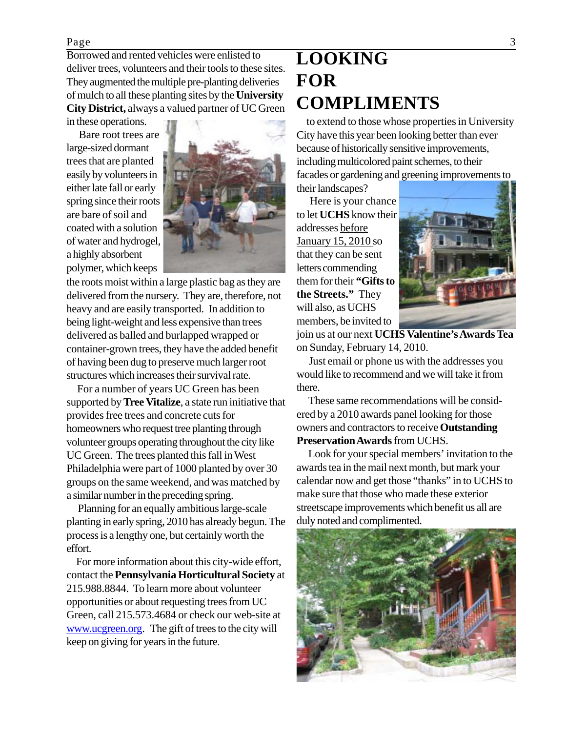Page 3

Borrowed and rented vehicles were enlisted to deliver trees, volunteers and their tools to these sites. They augmented the multiple pre-planting deliveries of mulch to all these planting sites by the **University City District,** always a valued partner of UC Green in these operations.

 Bare root trees are large-sized dormant trees that are planted easily by volunteers in either late fall or early spring since their roots are bare of soil and coated with a solution of water and hydrogel, a highly absorbent polymer, which keeps



the roots moist within a large plastic bag as they are delivered from the nursery. They are, therefore, not heavy and are easily transported. In addition to being light-weight and less expensive than trees delivered as balled and burlapped wrapped or container-grown trees, they have the added benefit of having been dug to preserve much larger root structures which increases their survival rate.

 For a number of years UC Green has been supported by **Tree Vitalize**, a state run initiative that provides free trees and concrete cuts for homeowners who request tree planting through volunteer groups operating throughout the city like UC Green. The trees planted this fall in West Philadelphia were part of 1000 planted by over 30 groups on the same weekend, and was matched by a similar number in the preceding spring.

 Planning for an equally ambitious large-scale planting in early spring, 2010 has already begun. The process is a lengthy one, but certainly worth the effort.

 For more information about this city-wide effort, contact the **Pennsylvania Horticultural Society** at 215.988.8844. To learn more about volunteer opportunities or about requesting trees from UC Green, call 215.573.4684 or check our web-site at www.ucgreen.org. The gift of trees to the city will keep on giving for years in the future.

## **LOOKING FOR COMPLIMENTS**

 to extend to those whose properties in University City have this year been looking better than ever because of historically sensitive improvements, including multicolored paint schemes, to their facades or gardening and greening improvements to

their landscapes?

 Here is your chance to let **UCHS** know their addresses before January 15, 2010 so that they can be sent letters commending them for their **"Gifts to the Streets."** They will also, as UCHS members, be invited to



join us at our next **UCHS Valentine's Awards Tea** on Sunday, February 14, 2010.

 Just email or phone us with the addresses you would like to recommend and we will take it from there.

 These same recommendations will be considered by a 2010 awards panel looking for those owners and contractors to receive **Outstanding Preservation Awards** from UCHS.

 Look for your special members' invitation to the awards tea in the mail next month, but mark your calendar now and get those "thanks" in to UCHS to make sure that those who made these exterior streetscape improvements which benefit us all are duly noted and complimented.